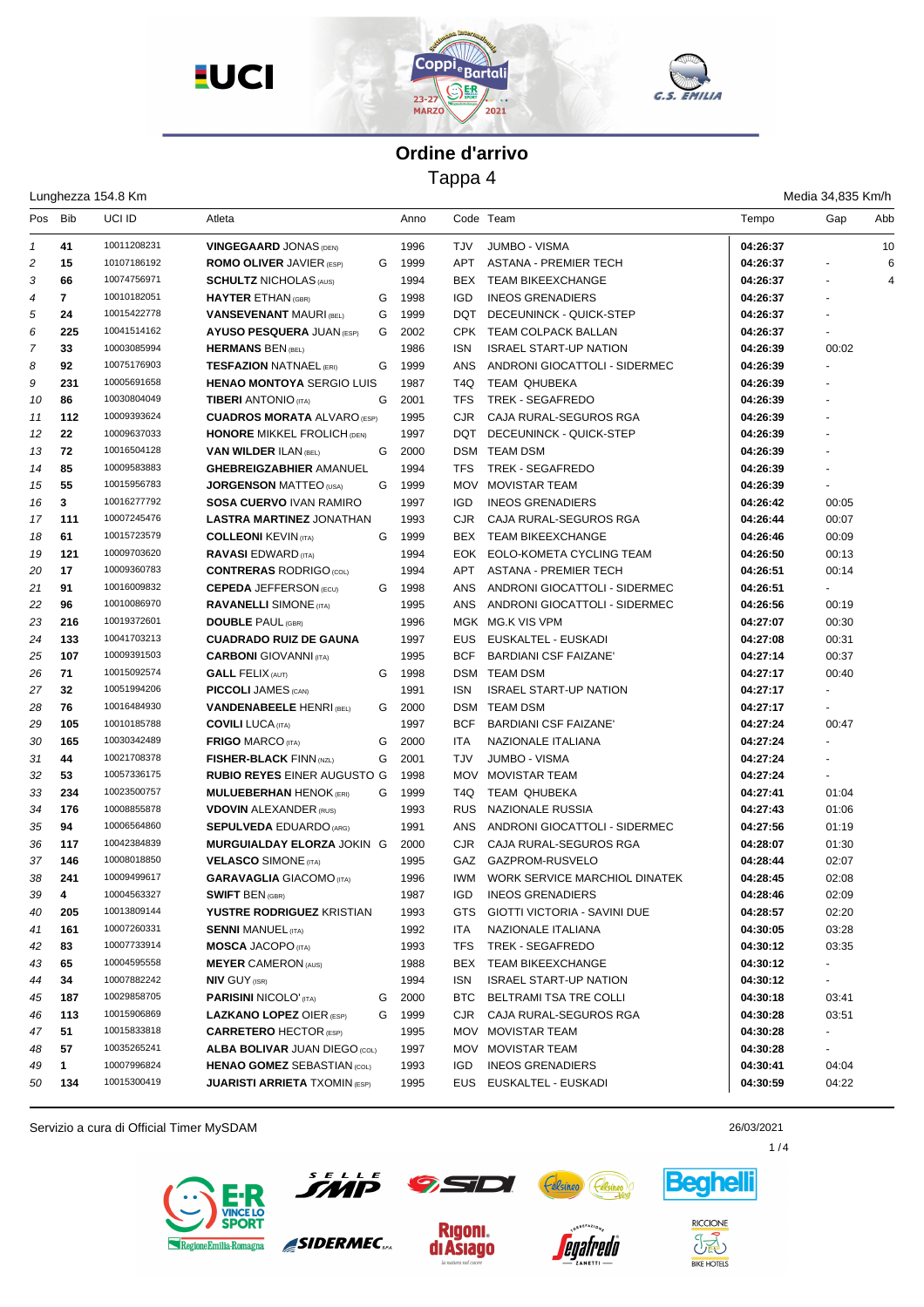





Tappa 4

|         |              | Lunghezza 154.8 Km |                                      |   |      |                  |                                     |          | Media 34,835 Km/h        |     |
|---------|--------------|--------------------|--------------------------------------|---|------|------------------|-------------------------------------|----------|--------------------------|-----|
| Pos Bib |              | UCI ID             | Atleta                               |   | Anno |                  | Code Team                           | Tempo    | Gap                      | Abb |
| 1       | 41           | 10011208231        | <b>VINGEGAARD JONAS (DEN)</b>        |   | 1996 | <b>TJV</b>       | <b>JUMBO - VISMA</b>                | 04:26:37 |                          | 10  |
| 2       | 15           | 10107186192        | <b>ROMO OLIVER JAVIER (ESP)</b>      | G | 1999 | APT              | <b>ASTANA - PREMIER TECH</b>        | 04:26:37 |                          | 6   |
| 3       | 66           | 10074756971        | <b>SCHULTZ NICHOLAS (AUS)</b>        |   | 1994 | BEX.             | <b>TEAM BIKEEXCHANGE</b>            | 04:26:37 | $\overline{\phantom{a}}$ | 4   |
| 4       | 7            | 10010182051        | <b>HAYTER ETHAN (GBR)</b>            | G | 1998 | <b>IGD</b>       | <b>INEOS GRENADIERS</b>             | 04:26:37 |                          |     |
| 5       | 24           | 10015422778        | <b>VANSEVENANT MAURI (BEL)</b>       | G | 1999 | <b>DQT</b>       | DECEUNINCK - QUICK-STEP             | 04:26:37 |                          |     |
| 6       | 225          | 10041514162        | <b>AYUSO PESQUERA JUAN (ESP)</b>     | G | 2002 | CPK              | <b>TEAM COLPACK BALLAN</b>          | 04:26:37 |                          |     |
| 7       | 33           | 10003085994        | <b>HERMANS BEN (BEL)</b>             |   | 1986 | <b>ISN</b>       | <b>ISRAEL START-UP NATION</b>       | 04:26:39 | 00:02                    |     |
| 8       | 92           | 10075176903        | <b>TESFAZION NATNAEL (ERI)</b>       | G | 1999 | <b>ANS</b>       | ANDRONI GIOCATTOLI - SIDERMEC       | 04:26:39 | $\mathbf{r}$             |     |
| 9       | 231          | 10005691658        | <b>HENAO MONTOYA SERGIO LUIS</b>     |   | 1987 | T <sub>4</sub> Q | <b>TEAM QHUBEKA</b>                 | 04:26:39 |                          |     |
| 10      | 86           | 10030804049        | <b>TIBERI ANTONIO</b> (ITA)          | G | 2001 | <b>TFS</b>       | <b>TREK - SEGAFREDO</b>             | 04:26:39 |                          |     |
| 11      | 112          | 10009393624        | <b>CUADROS MORATA ALVARO (ESP)</b>   |   | 1995 | <b>CJR</b>       | CAJA RURAL-SEGUROS RGA              | 04:26:39 |                          |     |
| 12      | 22           | 10009637033        | <b>HONORE MIKKEL FROLICH (DEN)</b>   |   | 1997 | DQT              | DECEUNINCK - QUICK-STEP             | 04:26:39 |                          |     |
| 13      | 72           | 10016504128        | <b>VAN WILDER ILAN (BEL)</b>         | G | 2000 |                  | DSM TEAM DSM                        | 04:26:39 | $\sim$                   |     |
| 14      | 85           | 10009583883        | <b>GHEBREIGZABHIER AMANUEL</b>       |   | 1994 | <b>TFS</b>       | TREK - SEGAFREDO                    | 04:26:39 |                          |     |
| 15      | 55           | 10015956783        | <b>JORGENSON MATTEO (USA)</b>        | G | 1999 | <b>MOV</b>       | MOVISTAR TEAM                       | 04:26:39 |                          |     |
| 16      | 3            | 10016277792        | <b>SOSA CUERVO IVAN RAMIRO</b>       |   | 1997 | <b>IGD</b>       | <b>INEOS GRENADIERS</b>             | 04:26:42 | 00:05                    |     |
| 17      | 111          | 10007245476        | <b>LASTRA MARTINEZ JONATHAN</b>      |   | 1993 | CJR              | CAJA RURAL-SEGUROS RGA              | 04:26:44 | 00:07                    |     |
| 18      | 61           | 10015723579        | <b>COLLEONI KEVIN (TA)</b>           | G | 1999 | BEX              | <b>TEAM BIKEEXCHANGE</b>            | 04:26:46 | 00:09                    |     |
| 19      | 121          | 10009703620        | <b>RAVASI</b> EDWARD (ITA)           |   | 1994 |                  | EOK EOLO-KOMETA CYCLING TEAM        | 04:26:50 | 00:13                    |     |
| 20      | 17           | 10009360783        | <b>CONTRERAS RODRIGO (COL)</b>       |   | 1994 | APT              | <b>ASTANA - PREMIER TECH</b>        | 04:26:51 | 00:14                    |     |
| 21      | 91           | 10016009832        | <b>CEPEDA JEFFERSON (ECU)</b>        | G | 1998 | <b>ANS</b>       | ANDRONI GIOCATTOLI - SIDERMEC       | 04:26:51 | $\sim$                   |     |
| 22      | 96           | 10010086970        | <b>RAVANELLI SIMONE (ITA)</b>        |   | 1995 | <b>ANS</b>       | ANDRONI GIOCATTOLI - SIDERMEC       | 04:26:56 | 00:19                    |     |
| 23      | 216          | 10019372601        | <b>DOUBLE PAUL (GBR)</b>             |   | 1996 |                  | MGK MG.K VIS VPM                    | 04:27:07 | 00:30                    |     |
| 24      | 133          | 10041703213        | <b>CUADRADO RUIZ DE GAUNA</b>        |   | 1997 | <b>EUS</b>       | EUSKALTEL - EUSKADI                 | 04:27:08 | 00:31                    |     |
| 25      | 107          | 10009391503        | <b>CARBONI</b> GIOVANNI (ITA)        |   | 1995 | <b>BCF</b>       | <b>BARDIANI CSF FAIZANE'</b>        | 04:27:14 | 00:37                    |     |
| 26      | 71           | 10015092574        | <b>GALL FELIX (AUT)</b>              | G | 1998 |                  | <b>DSM TEAM DSM</b>                 | 04:27:17 | 00:40                    |     |
| 27      | 32           | 10051994206        | <b>PICCOLI JAMES (CAN)</b>           |   | 1991 | <b>ISN</b>       | <b>ISRAEL START-UP NATION</b>       | 04:27:17 |                          |     |
| 28      | 76           | 10016484930        | <b>VANDENABEELE HENRI (BEL)</b>      | G | 2000 |                  | DSM TEAM DSM                        | 04:27:17 |                          |     |
| 29      | 105          | 10010185788        | <b>COVILI LUCA (ITA)</b>             |   | 1997 | <b>BCF</b>       | <b>BARDIANI CSF FAIZANE</b>         | 04:27:24 | 00:47                    |     |
| 30      | 165          | 10030342489        | <b>FRIGO MARCO (ITA)</b>             | G | 2000 | <b>ITA</b>       | NAZIONALE ITALIANA                  | 04:27:24 |                          |     |
| 31      | 44           | 10021708378        | <b>FISHER-BLACK FINN (NZL)</b>       | G | 2001 | <b>TJV</b>       | <b>JUMBO - VISMA</b>                | 04:27:24 |                          |     |
| 32      | 53           | 10057336175        | <b>RUBIO REYES EINER AUGUSTO G</b>   |   | 1998 | <b>MOV</b>       | MOVISTAR TEAM                       | 04:27:24 |                          |     |
| 33      | 234          | 10023500757        | <b>MULUEBERHAN HENOK (ERI)</b>       | G | 1999 | T4Q              | <b>TEAM QHUBEKA</b>                 | 04:27:41 | 01:04                    |     |
| 34      | 176          | 10008855878        | <b>VDOVIN ALEXANDER (RUS)</b>        |   | 1993 | <b>RUS</b>       | NAZIONALE RUSSIA                    | 04:27:43 | 01:06                    |     |
| 35      | 94           | 10006564860        | <b>SEPULVEDA EDUARDO (ARG)</b>       |   | 1991 | ANS              | ANDRONI GIOCATTOLI - SIDERMEC       | 04:27:56 | 01:19                    |     |
| 36      | 117          | 10042384839        | MURGUIALDAY ELORZA JOKIN G           |   | 2000 | CJR              | CAJA RURAL-SEGUROS RGA              | 04:28:07 | 01:30                    |     |
| 37      | 146          | 10008018850        | <b>VELASCO SIMONE (ITA)</b>          |   | 1995 | GAZ              | GAZPROM-RUSVELO                     | 04:28:44 | 02:07                    |     |
| 38      | 241          | 10009499617        | <b>GARAVAGLIA GIACOMO (ITA)</b>      |   | 1996 | IWM.             | WORK SERVICE MARCHIOL DINATEK       | 04:28:45 | 02:08                    |     |
| 39      | 4            | 10004563327        | <b>SWIFT BEN (GBR)</b>               |   | 1987 | IGD              | <b>INEOS GRENADIERS</b>             | 04:28:46 | 02:09                    |     |
| 40      | 205          | 10013809144        | YUSTRE RODRIGUEZ KRISTIAN            |   | 1993 | GTS              | <b>GIOTTI VICTORIA - SAVINI DUE</b> | 04:28:57 | 02:20                    |     |
| 41      | 161          | 10007260331        | <b>SENNI MANUEL (ITA)</b>            |   | 1992 | ITA              | NAZIONALE ITALIANA                  | 04:30:05 | 03:28                    |     |
| 42      | 83           | 10007733914        | <b>MOSCA JACOPO (ITA)</b>            |   | 1993 | TFS              | TREK - SEGAFREDO                    | 04:30:12 | 03:35                    |     |
| 43      | 65           | 10004595558        | <b>MEYER CAMERON (AUS)</b>           |   | 1988 | BEX              | <b>TEAM BIKEEXCHANGE</b>            | 04:30:12 |                          |     |
| 44      | 34           | 10007882242        | <b>NIV GUY (ISR)</b>                 |   | 1994 | ISN              | <b>ISRAEL START-UP NATION</b>       | 04:30:12 | $\sim$                   |     |
| 45      | 187          | 10029858705        | <b>PARISINI NICOLO' (ITA)</b>        | G | 2000 |                  | BTC BELTRAMI TSA TRE COLLI          | 04:30:18 | 03:41                    |     |
| 46      | 113          | 10015906869        | <b>LAZKANO LOPEZ OIER (ESP)</b>      | G | 1999 | CJR              | CAJA RURAL-SEGUROS RGA              | 04:30:28 | 03:51                    |     |
| 47      | 51           | 10015833818        | <b>CARRETERO HECTOR (ESP)</b>        |   | 1995 |                  | MOV MOVISTAR TEAM                   | 04:30:28 | $\sim$                   |     |
| 48      | 57           | 10035265241        | <b>ALBA BOLIVAR JUAN DIEGO (COL)</b> |   | 1997 |                  | MOV MOVISTAR TEAM                   | 04:30:28 | $\sim$                   |     |
| 49      | $\mathbf{1}$ | 10007996824        | <b>HENAO GOMEZ SEBASTIAN (COL)</b>   |   | 1993 | IGD              | <b>INEOS GRENADIERS</b>             | 04:30:41 | 04:04                    |     |
| 50      | 134          | 10015300419        | <b>JUARISTI ARRIETA TXOMIN (ESP)</b> |   | 1995 | EUS              | EUSKALTEL - EUSKADI                 | 04:30:59 | 04:22                    |     |
|         |              |                    |                                      |   |      |                  |                                     |          |                          |     |

Servizio a cura di Official Timer MySDAM 26/03/2021



י*' י*<br>קא

SIDERMEC.

**Rigoni.** 

di Asiago



*eoafredo* 



**BIKE HOTELS** 

 $1/4$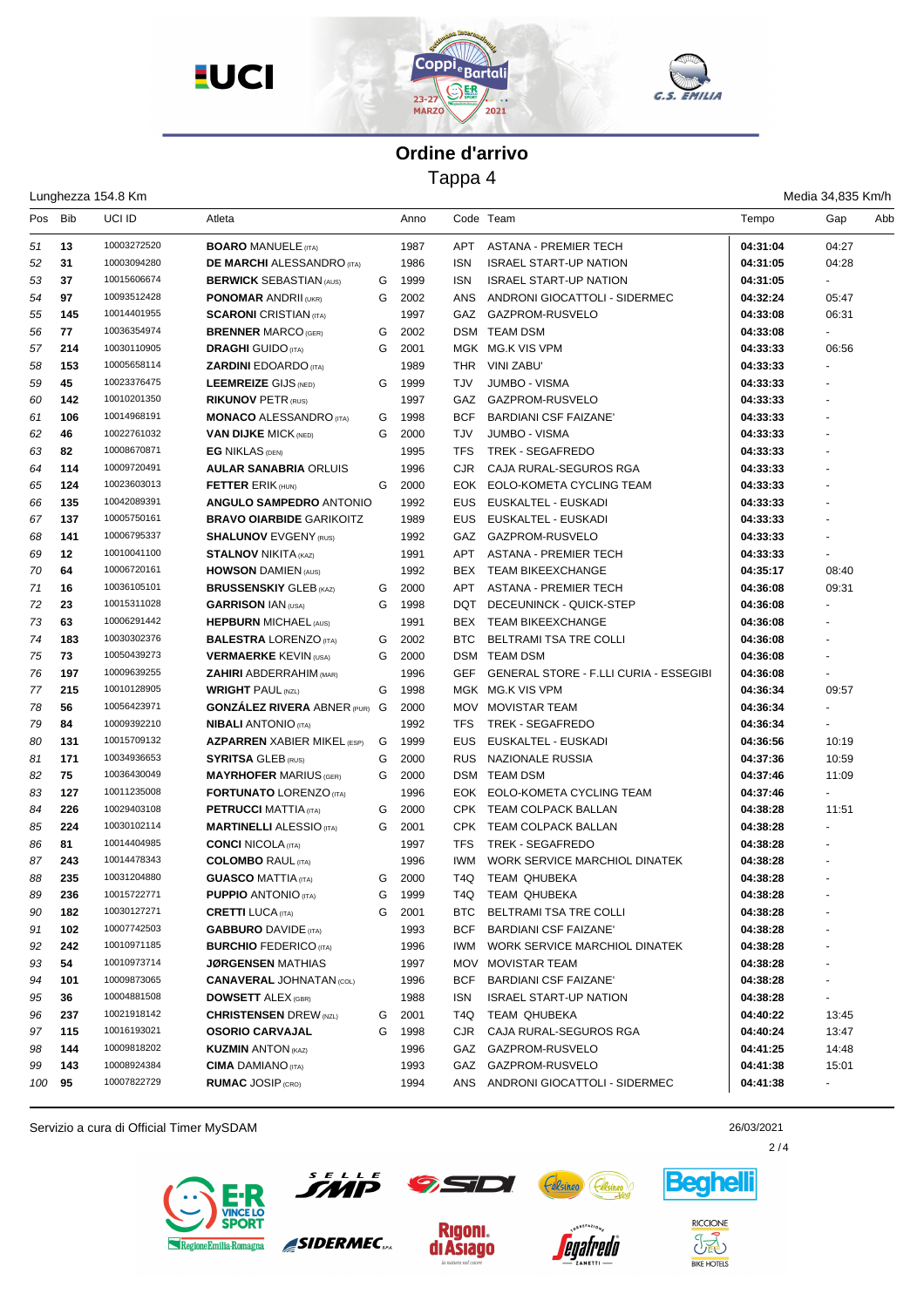





Tappa 4

|         |     | Lunghezza 154.8 Km |                                      |   |              |            |                                        |          | Media 34,835 Km/h |     |
|---------|-----|--------------------|--------------------------------------|---|--------------|------------|----------------------------------------|----------|-------------------|-----|
| Pos Bib |     | UCI ID             | Atleta                               |   | Anno         |            | Code Team                              | Tempo    | Gap               | Abb |
| 51      | 13  | 10003272520        | <b>BOARO MANUELE (ITA)</b>           |   | 1987         | APT        | <b>ASTANA - PREMIER TECH</b>           | 04:31:04 | 04:27             |     |
| 52      | 31  | 10003094280        | <b>DE MARCHI ALESSANDRO</b> (ITA)    |   | 1986         | <b>ISN</b> | <b>ISRAEL START-UP NATION</b>          | 04:31:05 | 04:28             |     |
| 53      | 37  | 10015606674        | <b>BERWICK SEBASTIAN (AUS)</b>       | G | 1999         | <b>ISN</b> | <b>ISRAEL START-UP NATION</b>          | 04:31:05 |                   |     |
| 54      | 97  | 10093512428        | <b>PONOMAR ANDRII (UKR)</b>          | G | 2002         | ANS        | ANDRONI GIOCATTOLI - SIDERMEC          | 04:32:24 | 05:47             |     |
| 55      | 145 | 10014401955        | <b>SCARONI</b> CRISTIAN (ITA)        |   | 1997         | GAZ        | GAZPROM-RUSVELO                        | 04:33:08 | 06:31             |     |
| 56      | 77  | 10036354974        | <b>BRENNER MARCO (GER)</b>           | G | 2002         |            | DSM TEAM DSM                           | 04:33:08 |                   |     |
| 57      | 214 | 10030110905        | <b>DRAGHI</b> GUIDO (ITA)            | G | 2001         |            | MGK MG.K VIS VPM                       | 04:33:33 | 06:56             |     |
| 58      | 153 | 10005658114        | <b>ZARDINI EDOARDO</b> (ITA)         |   | 1989         | THR        | VINI ZABU'                             | 04:33:33 |                   |     |
| 59      | 45  | 10023376475        | <b>LEEMREIZE GIJS (NED)</b>          | G | 1999         | <b>TJV</b> | <b>JUMBO - VISMA</b>                   | 04:33:33 |                   |     |
| 60      | 142 | 10010201350        | <b>RIKUNOV PETR (RUS)</b>            |   | 1997         |            | GAZ GAZPROM-RUSVELO                    | 04:33:33 |                   |     |
| 61      | 106 | 10014968191        | <b>MONACO ALESSANDRO</b> (ITA)       | G | 1998         | <b>BCF</b> | <b>BARDIANI CSF FAIZANE'</b>           | 04:33:33 |                   |     |
| 62      | 46  | 10022761032        | <b>VAN DIJKE MICK (NED)</b>          | G | 2000         | TJV        | <b>JUMBO - VISMA</b>                   | 04:33:33 |                   |     |
| 63      | 82  | 10008670871        | <b>EG NIKLAS (DEN)</b>               |   | 1995         | TFS        | TREK - SEGAFREDO                       | 04:33:33 |                   |     |
| 64      | 114 | 10009720491        | <b>AULAR SANABRIA ORLUIS</b>         |   | 1996         | CJR.       | CAJA RURAL-SEGUROS RGA                 | 04:33:33 |                   |     |
| 65      | 124 | 10023603013        | <b>FETTER ERIK (HUN)</b>             | G | 2000         | EOK        | EOLO-KOMETA CYCLING TEAM               | 04:33:33 |                   |     |
| 66      | 135 | 10042089391        | <b>ANGULO SAMPEDRO ANTONIO</b>       |   | 1992         | <b>EUS</b> | EUSKALTEL - EUSKADI                    | 04:33:33 |                   |     |
| 67      | 137 | 10005750161        | <b>BRAVO OIARBIDE GARIKOITZ</b>      |   | 1989         | <b>EUS</b> | EUSKALTEL - EUSKADI                    | 04:33:33 |                   |     |
| 68      | 141 | 10006795337        | <b>SHALUNOV EVGENY (RUS)</b>         |   | 1992         |            | GAZ GAZPROM-RUSVELO                    | 04:33:33 |                   |     |
| 69      | 12  | 10010041100        | <b>STALNOV NIKITA (KAZ)</b>          |   | 1991         | APT        | <b>ASTANA - PREMIER TECH</b>           | 04:33:33 |                   |     |
| 70      | 64  | 10006720161        | <b>HOWSON DAMIEN (AUS)</b>           |   | 1992         | BEX        | <b>TEAM BIKEEXCHANGE</b>               | 04:35:17 | 08:40             |     |
| 71      | 16  | 10036105101        | <b>BRUSSENSKIY GLEB (KAZ)</b>        | G | 2000         | APT        | <b>ASTANA - PREMIER TECH</b>           | 04:36:08 | 09:31             |     |
| 72      | 23  | 10015311028        | <b>GARRISON IAN (USA)</b>            | G | 1998         |            | DQT DECEUNINCK - QUICK-STEP            | 04:36:08 |                   |     |
| 73      | 63  | 10006291442        | <b>HEPBURN MICHAEL (AUS)</b>         |   | 1991         |            | BEX TEAM BIKEEXCHANGE                  | 04:36:08 |                   |     |
| 74      | 183 | 10030302376        | <b>BALESTRA LORENZO</b> (ITA)        | G | 2002         | <b>BTC</b> | <b>BELTRAMI TSA TRE COLLI</b>          | 04:36:08 |                   |     |
| 75      | 73  | 10050439273        | <b>VERMAERKE KEVIN (USA)</b>         | G | 2000         |            | DSM TEAM DSM                           | 04:36:08 |                   |     |
| 76      | 197 | 10009639255        | <b>ZAHIRI ABDERRAHIM (MAR)</b>       |   | 1996         | <b>GEF</b> | GENERAL STORE - F.LLI CURIA - ESSEGIBI | 04:36:08 |                   |     |
| 77      | 215 | 10010128905        | <b>WRIGHT PAUL (NZL)</b>             | G | 1998         |            | MGK MG.K VIS VPM                       | 04:36:34 | 09:57             |     |
| 78      | 56  | 10056423971        | <b>GONZÁLEZ RIVERA ABNER (PUR) G</b> |   | 2000         |            | MOV MOVISTAR TEAM                      | 04:36:34 |                   |     |
| 79      | 84  | 10009392210        | <b>NIBALI</b> ANTONIO (ITA)          |   | 1992         | <b>TFS</b> | TREK - SEGAFREDO                       | 04:36:34 |                   |     |
| 80      | 131 | 10015709132        | <b>AZPARREN XABIER MIKEL (ESP)</b>   | G | 1999         | <b>EUS</b> | EUSKALTEL - EUSKADI                    | 04:36:56 | 10:19             |     |
| 81      | 171 | 10034936653        | <b>SYRITSA GLEB (RUS)</b>            | G | 2000         |            | RUS NAZIONALE RUSSIA                   | 04:37:36 | 10:59             |     |
| 82      | 75  | 10036430049        | <b>MAYRHOFER MARIUS (GER)</b>        | G | 2000         |            | <b>DSM TEAM DSM</b>                    | 04:37:46 | 11:09             |     |
| 83      | 127 | 10011235008        | <b>FORTUNATO LORENZO (ITA)</b>       |   | 1996         |            | EOK EOLO-KOMETA CYCLING TEAM           | 04:37:46 |                   |     |
| 84      | 226 | 10029403108        | <b>PETRUCCI MATTIA (ITA)</b>         | G | 2000         |            | CPK TEAM COLPACK BALLAN                | 04:38:28 | 11:51             |     |
| 85      | 224 | 10030102114        | <b>MARTINELLI ALESSIO</b> (ITA)      | G | 2001         |            | CPK TEAM COLPACK BALLAN                | 04:38:28 |                   |     |
| 86      | 81  | 10014404985        | <b>CONCI NICOLA (ITA)</b>            |   | 1997         | <b>TFS</b> | TREK - SEGAFREDO                       | 04:38:28 |                   |     |
| 87      | 243 | 10014478343        | <b>COLOMBO RAUL (ITA)</b>            |   | 1996         | <b>IWM</b> | WORK SERVICE MARCHIOL DINATEK          | 04:38:28 |                   |     |
| 88      | 235 | 10031204880        | <b>GUASCO MATTIA (ITA)</b>           | G | 2000         | T4Q        | TEAM QHUBEKA                           | 04:38:28 |                   |     |
| 89      | 236 | 10015722771        | <b>PUPPIO ANTONIO (ITA)</b>          | G | 1999         | T4Q        | TEAM QHUBEKA                           | 04:38:28 |                   |     |
| 90      | 182 | 10030127271        | <b>CRETTI LUCA (ITA)</b>             | G |              | BTC        | BELTRAMI TSA TRE COLLI                 | 04:38:28 |                   |     |
|         |     | 10007742503        | <b>GABBURO DAVIDE (ITA)</b>          |   | 2001<br>1993 | BCF        | <b>BARDIANI CSF FAIZANE'</b>           | 04:38:28 |                   |     |
| 91      | 102 | 10010971185        |                                      |   |              | IWM        |                                        |          |                   |     |
| 92      | 242 | 10010973714        | <b>BURCHIO FEDERICO (ITA)</b>        |   | 1996         |            | WORK SERVICE MARCHIOL DINATEK          | 04:38:28 |                   |     |
| 93      | 54  |                    | <b>JØRGENSEN MATHIAS</b>             |   | 1997         |            | MOV MOVISTAR TEAM                      | 04:38:28 |                   |     |
| 94      | 101 | 10009873065        | <b>CANAVERAL JOHNATAN (COL)</b>      |   | 1996         | BCF        | <b>BARDIANI CSF FAIZANE'</b>           | 04:38:28 |                   |     |
| 95      | 36  | 10004881508        | <b>DOWSETT ALEX (GBR)</b>            |   | 1988         | ISN        | <b>ISRAEL START-UP NATION</b>          | 04:38:28 | $\blacksquare$    |     |
| 96      | 237 | 10021918142        | <b>CHRISTENSEN DREW (NZL)</b>        | G | 2001         | T4Q        | <b>TEAM QHUBEKA</b>                    | 04:40:22 | 13:45             |     |
| 97      | 115 | 10016193021        | <b>OSORIO CARVAJAL</b>               | G | 1998         | CJR        | CAJA RURAL-SEGUROS RGA                 | 04:40:24 | 13:47             |     |
| 98      | 144 | 10009818202        | <b>KUZMIN ANTON (KAZ)</b>            |   | 1996         |            | GAZ GAZPROM-RUSVELO                    | 04:41:25 | 14:48             |     |
| 99      | 143 | 10008924384        | <b>CIMA DAMIANO</b> (ITA)            |   | 1993         |            | GAZ GAZPROM-RUSVELO                    | 04:41:38 | 15:01             |     |
| 100     | 95  | 10007822729        | <b>RUMAC JOSIP (CRO)</b>             |   | 1994         |            | ANS ANDRONI GIOCATTOLI - SIDERMEC      | 04:41:38 | $\sim$            |     |

Servizio a cura di Official Timer MySDAM 26/03/2021



น่า

SIDERMEC.



*<u>eaafredo</u>* 

 $\overline{\phantom{a}}$   $\overline{\phantom{a}}$ 

**Rigoni.** 

di Asiago



**BIKE HOTELS** 

 $2/4$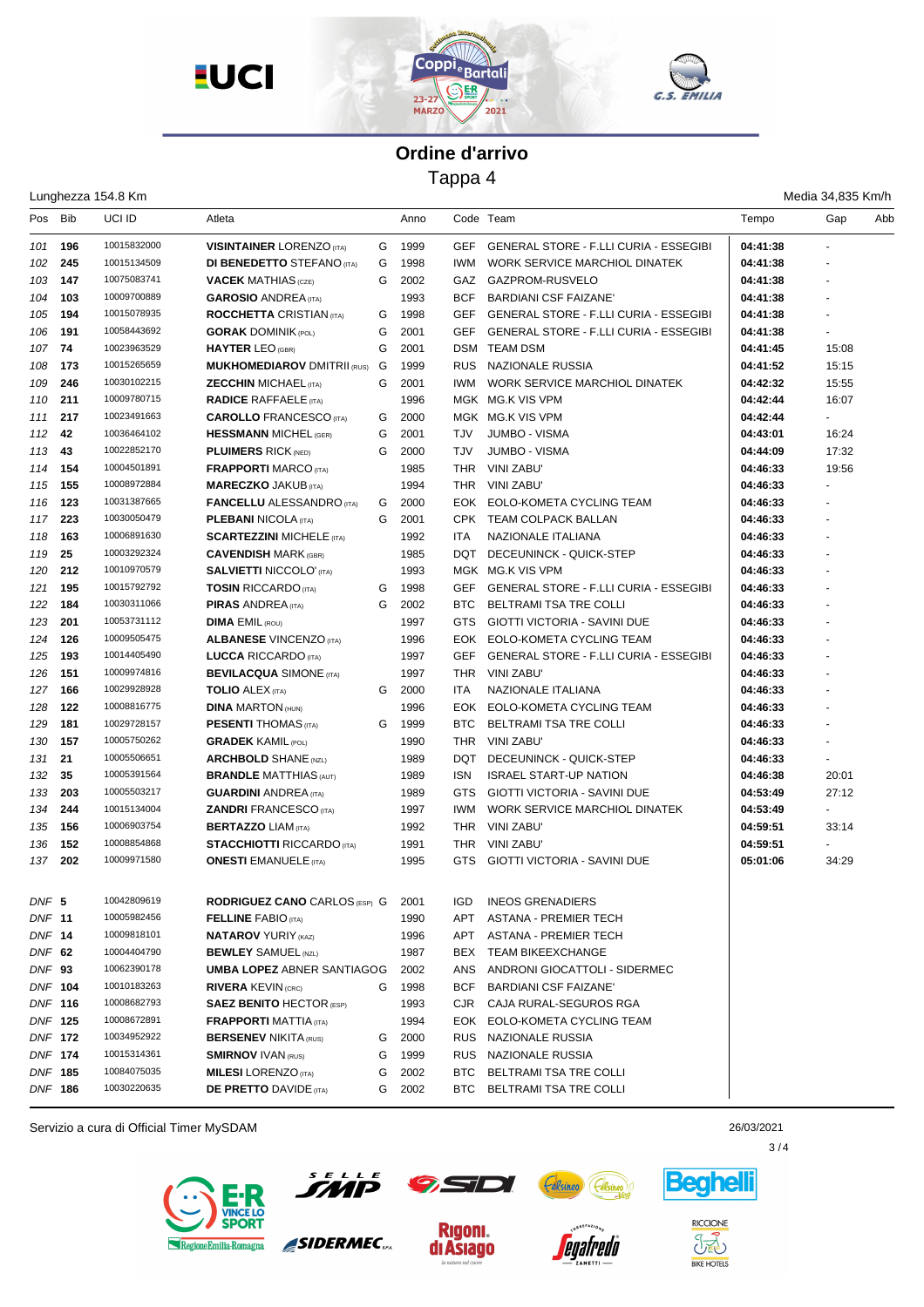





Tappa 4

|                |     | Lunghezza 154.8 Km |                                      |   |        |            |                                               |          | Media 34,835 Km/h |     |
|----------------|-----|--------------------|--------------------------------------|---|--------|------------|-----------------------------------------------|----------|-------------------|-----|
| Pos Bib        |     | UCI ID             | Atleta                               |   | Anno   |            | Code Team                                     | Tempo    | Gap               | Abb |
| 101            | 196 | 10015832000        | <b>VISINTAINER LORENZO (ITA)</b>     | G | 1999   | <b>GEF</b> | <b>GENERAL STORE - F.LLI CURIA - ESSEGIBI</b> | 04:41:38 |                   |     |
| 102            | 245 | 10015134509        | <b>DI BENEDETTO STEFANO (ITA)</b>    | G | 1998   | <b>IWM</b> | WORK SERVICE MARCHIOL DINATEK                 | 04:41:38 |                   |     |
| 103            | 147 | 10075083741        | <b>VACEK MATHIAS</b> (CZE)           | G | 2002   | GAZ        | GAZPROM-RUSVELO                               | 04:41:38 | $\blacksquare$    |     |
| 104            | 103 | 10009700889        | <b>GAROSIO ANDREA (ITA)</b>          |   | 1993   | <b>BCF</b> | <b>BARDIANI CSF FAIZANE'</b>                  | 04:41:38 |                   |     |
| 105            | 194 | 10015078935        | <b>ROCCHETTA CRISTIAN (ITA)</b>      | G | 1998   | GEF        | <b>GENERAL STORE - F.LLI CURIA - ESSEGIBI</b> | 04:41:38 |                   |     |
| 106            | 191 | 10058443692        | <b>GORAK DOMINIK (POL)</b>           | G | 2001   | <b>GEF</b> | <b>GENERAL STORE - F.LLI CURIA - ESSEGIBI</b> | 04:41:38 |                   |     |
| 107            | 74  | 10023963529        | <b>HAYTER LEO (GBR)</b>              | G | 2001   |            | DSM TEAM DSM                                  | 04:41:45 | 15:08             |     |
| 108            | 173 | 10015265659        | <b>MUKHOMEDIAROV DMITRII (RUS)</b>   | G | 1999   | <b>RUS</b> | NAZIONALE RUSSIA                              | 04:41:52 | 15:15             |     |
| 109            | 246 | 10030102215        | <b>ZECCHIN MICHAEL (ITA)</b>         | G | 2001   | <b>IWM</b> | <b>WORK SERVICE MARCHIOL DINATEK</b>          | 04:42:32 | 15:55             |     |
| 110            | 211 | 10009780715        | <b>RADICE RAFFAELE (ITA)</b>         |   | 1996   |            | MGK MG.K VIS VPM                              | 04:42:44 | 16:07             |     |
| 111            | 217 | 10023491663        | <b>CAROLLO FRANCESCO</b> (ITA)       | G | 2000   |            | MGK MG.K VIS VPM                              | 04:42:44 |                   |     |
| 112            | 42  | 10036464102        | <b>HESSMANN MICHEL (GER)</b>         | G | 2001   | TJV        | <b>JUMBO - VISMA</b>                          | 04:43:01 | 16:24             |     |
| 113            | 43  | 10022852170        | <b>PLUIMERS RICK (NED)</b>           | G | 2000   | <b>TJV</b> | <b>JUMBO - VISMA</b>                          | 04:44:09 | 17:32             |     |
| 114            | 154 | 10004501891        | <b>FRAPPORTI MARCO (ITA)</b>         |   | 1985   | THR.       | <b>VINI ZABU'</b>                             | 04:46:33 | 19:56             |     |
| 115            | 155 | 10008972884        | <b>MARECZKO JAKUB (ITA)</b>          |   | 1994   | <b>THR</b> | VINI ZABU'                                    | 04:46:33 |                   |     |
| 116            | 123 | 10031387665        | <b>FANCELLU ALESSANDRO</b> (ITA)     | G | 2000   |            | EOK EOLO-KOMETA CYCLING TEAM                  | 04:46:33 |                   |     |
| 117            | 223 | 10030050479        | <b>PLEBANI NICOLA (ITA)</b>          | G | 2001   |            | CPK TEAM COLPACK BALLAN                       | 04:46:33 |                   |     |
| 118            | 163 | 10006891630        | <b>SCARTEZZINI MICHELE (ITA)</b>     |   | 1992   | <b>ITA</b> | NAZIONALE ITALIANA                            | 04:46:33 |                   |     |
| 119            | 25  | 10003292324        | <b>CAVENDISH MARK (GBR)</b>          |   | 1985   | DQT        | DECEUNINCK - QUICK-STEP                       | 04:46:33 | $\sim$            |     |
| 120            | 212 | 10010970579        | <b>SALVIETTI NICCOLO' (ITA)</b>      |   | 1993   |            | MGK MG.K VIS VPM                              | 04:46:33 |                   |     |
| 121            | 195 | 10015792792        | <b>TOSIN RICCARDO (ITA)</b>          | G | 1998   | <b>GEF</b> | <b>GENERAL STORE - F.LLI CURIA - ESSEGIBI</b> | 04:46:33 |                   |     |
| 122            | 184 | 10030311066        | <b>PIRAS ANDREA</b> (ITA)            | G | 2002   | BTC        | BELTRAMI TSA TRE COLLI                        | 04:46:33 |                   |     |
| 123            | 201 | 10053731112        | <b>DIMA EMIL (ROU)</b>               |   | 1997   | <b>GTS</b> | <b>GIOTTI VICTORIA - SAVINI DUE</b>           | 04:46:33 |                   |     |
| 124            | 126 | 10009505475        | <b>ALBANESE VINCENZO (ITA)</b>       |   | 1996   |            | EOK EOLO-KOMETA CYCLING TEAM                  | 04:46:33 |                   |     |
| 125            | 193 | 10014405490        | <b>LUCCA RICCARDO</b> (ITA)          |   | 1997   | GEF        | <b>GENERAL STORE - F.LLI CURIA - ESSEGIBI</b> | 04:46:33 |                   |     |
| 126            | 151 | 10009974816        | <b>BEVILACQUA SIMONE (ITA)</b>       |   | 1997   | <b>THR</b> | VINI ZABU'                                    | 04:46:33 |                   |     |
| 127            | 166 | 10029928928        | <b>TOLIO ALEX (ITA)</b>              | G | 2000   | <b>ITA</b> | NAZIONALE ITALIANA                            | 04:46:33 | $\blacksquare$    |     |
| 128            | 122 | 10008816775        | <b>DINA MARTON (HUN)</b>             |   | 1996   |            | EOK EOLO-KOMETA CYCLING TEAM                  | 04:46:33 |                   |     |
| 129            | 181 | 10029728157        | <b>PESENTI THOMAS</b> (ITA)          | G | 1999   | BTC.       | BELTRAMI TSA TRE COLLI                        | 04:46:33 |                   |     |
| 130            | 157 | 10005750262        | <b>GRADEK KAMIL (POL)</b>            |   | 1990   |            | THR VINI ZABU'                                | 04:46:33 |                   |     |
| 131            | 21  | 10005506651        | <b>ARCHBOLD SHANE (NZL)</b>          |   | 1989   | DQT        | DECEUNINCK - QUICK-STEP                       | 04:46:33 |                   |     |
| 132            | 35  | 10005391564        | <b>BRANDLE MATTHIAS (AUT)</b>        |   | 1989   | <b>ISN</b> | <b>ISRAEL START-UP NATION</b>                 | 04:46:38 | 20:01             |     |
| 133            | 203 | 10005503217        | <b>GUARDINI ANDREA</b> (ITA)         |   | 1989   | <b>GTS</b> | <b>GIOTTI VICTORIA - SAVINI DUE</b>           | 04:53:49 | 27:12             |     |
| 134            | 244 | 10015134004        | <b>ZANDRI FRANCESCO (ITA)</b>        |   | 1997   | <b>IWM</b> | WORK SERVICE MARCHIOL DINATEK                 | 04:53:49 | $\blacksquare$    |     |
| 135            | 156 | 10006903754        | <b>BERTAZZO LIAM (ITA)</b>           |   | 1992   | THR        | VINI ZABU'                                    | 04:59:51 | 33:14             |     |
| 136            | 152 | 10008854868        | <b>STACCHIOTTI RICCARDO (ITA)</b>    |   | 1991   | THR        | <b>VINI ZABU'</b>                             | 04:59:51 |                   |     |
| 137            | 202 | 10009971580        | <b>ONESTI EMANUELE</b> (ITA)         |   | 1995   | GTS        | <b>GIOTTI VICTORIA - SAVINI DUE</b>           | 05:01:06 | 34:29             |     |
| DNF 5          |     | 10042809619        | <b>RODRIGUEZ CANO CARLOS (ESP) G</b> |   | 2001   | IGD        | <b>INEOS GRENADIERS</b>                       |          |                   |     |
| DNF 11         |     | 10005982456        | <b>FELLINE FABIO (ITA)</b>           |   | 1990   | APT        | <b>ASTANA - PREMIER TECH</b>                  |          |                   |     |
| DNF 14         |     | 10009818101        | <b>NATAROV YURIY (KAZ)</b>           |   | 1996   | APT        | <b>ASTANA - PREMIER TECH</b>                  |          |                   |     |
| DNF 62         |     | 10004404790        | <b>BEWLEY SAMUEL (NZL)</b>           |   | 1987   | BEX        | <b>TEAM BIKEEXCHANGE</b>                      |          |                   |     |
| DNF 93         |     | 10062390178        | <b>UMBA LOPEZ ABNER SANTIAGOG</b>    |   | 2002   | ANS        | ANDRONI GIOCATTOLI - SIDERMEC                 |          |                   |     |
| <b>DNF 104</b> |     | 10010183263        | <b>RIVERA KEVIN (CRC)</b>            | G | 1998   | BCF        | <b>BARDIANI CSF FAIZANE'</b>                  |          |                   |     |
| <b>DNF 116</b> |     | 10008682793        | <b>SAEZ BENITO HECTOR (ESP)</b>      |   | 1993   | CJR        | CAJA RURAL-SEGUROS RGA                        |          |                   |     |
| DNF 125        |     | 10008672891        | <b>FRAPPORTI MATTIA (ITA)</b>        |   | 1994   |            | EOK EOLO-KOMETA CYCLING TEAM                  |          |                   |     |
| DNF 172        |     | 10034952922        | <b>BERSENEV NIKITA (RUS)</b>         | G | 2000   |            | RUS NAZIONALE RUSSIA                          |          |                   |     |
| DNF 174        |     | 10015314361        | <b>SMIRNOV IVAN (RUS)</b>            | G | 1999   | RUS        | NAZIONALE RUSSIA                              |          |                   |     |
| DNF 185        |     | 10084075035        | <b>MILESI</b> LORENZO (ITA)          | G | 2002   | BTC.       | BELTRAMI TSA TRE COLLI                        |          |                   |     |
| DNF 186        |     | 10030220635        | <b>DE PRETTO DAVIDE (ITA)</b>        |   | G 2002 |            | BTC BELTRAMI TSA TRE COLLI                    |          |                   |     |
|                |     |                    |                                      |   |        |            |                                               |          |                   |     |

Servizio a cura di Official Timer MySDAM 26/03/2021



 $\overline{\mathbf{z}}$ 71.

SIDERMEC.





*eoafredo* 



**Beghell** 

 $3/4$